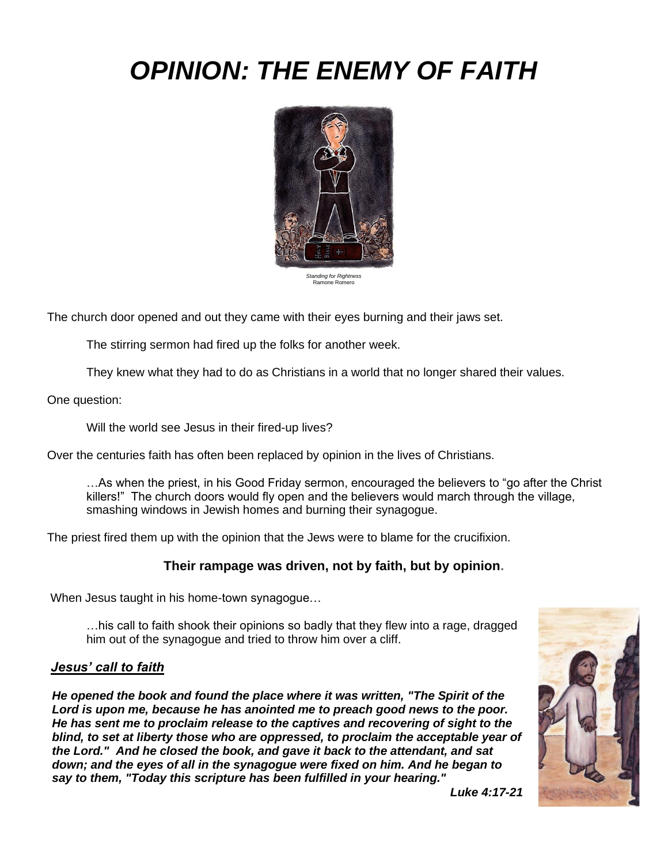# *OPINION: THE ENEMY OF FAITH*



*Standing for Rightness*  Ramone Romero

The church door opened and out they came with their eyes burning and their jaws set.

The stirring sermon had fired up the folks for another week.

They knew what they had to do as Christians in a world that no longer shared their values.

One question:

Will the world see Jesus in their fired-up lives?

Over the centuries faith has often been replaced by opinion in the lives of Christians.

…As when the priest, in his Good Friday sermon, encouraged the believers to "go after the Christ killers!" The church doors would fly open and the believers would march through the village, smashing windows in Jewish homes and burning their synagogue.

The priest fired them up with the opinion that the Jews were to blame for the crucifixion.

## **Their rampage was driven, not by faith, but by opinion.**

When Jesus taught in his home-town synagogue…

…his call to faith shook their opinions so badly that they flew into a rage, dragged him out of the synagogue and tried to throw him over a cliff.

#### *Jesus' call to faith*

*He opened the book and found the place where it was written, "The Spirit of the Lord is upon me, because he has anointed me to preach good news to the poor. He has sent me to proclaim release to the captives and recovering of sight to the blind, to set at liberty those who are oppressed, to proclaim the acceptable year of the Lord." And he closed the book, and gave it back to the attendant, and sat down; and the eyes of all in the synagogue were fixed on him. And he began to say to them, "Today this scripture has been fulfilled in your hearing."*



*Luke 4:17-21*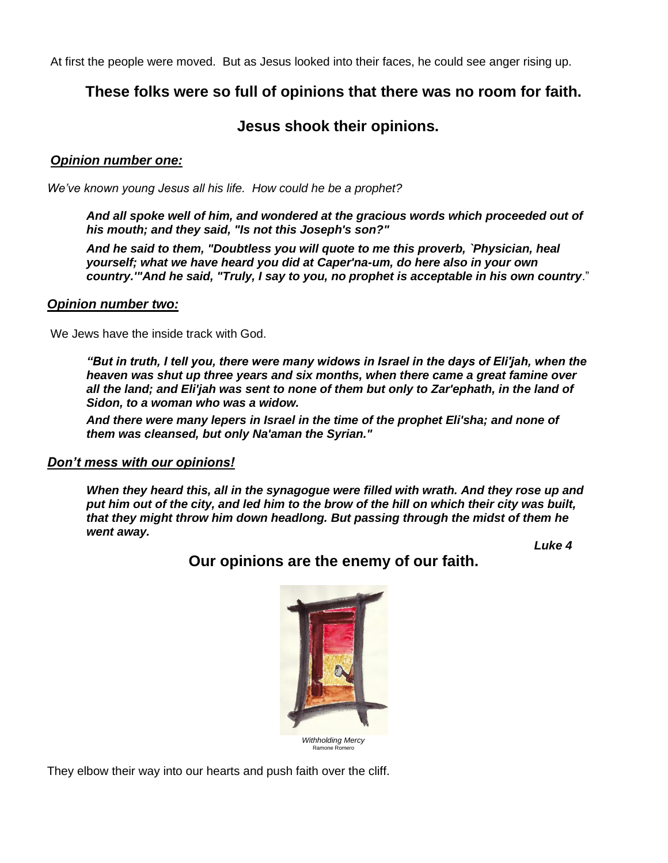At first the people were moved. But as Jesus looked into their faces, he could see anger rising up.

# **These folks were so full of opinions that there was no room for faith.**

# **Jesus shook their opinions.**

### *Opinion number one:*

*We've known young Jesus all his life. How could he be a prophet?*

*And all spoke well of him, and wondered at the gracious words which proceeded out of his mouth; and they said, "Is not this Joseph's son?"*

*And he said to them, "Doubtless you will quote to me this proverb, `Physician, heal yourself; what we have heard you did at Caper'na-um, do here also in your own country.'"And he said, "Truly, I say to you, no prophet is acceptable in his own country*."

#### *Opinion number two:*

We Jews have the inside track with God.

*"But in truth, I tell you, there were many widows in Israel in the days of Eli'jah, when the heaven was shut up three years and six months, when there came a great famine over all the land; and Eli'jah was sent to none of them but only to Zar'ephath, in the land of Sidon, to a woman who was a widow.*

*And there were many lepers in Israel in the time of the prophet Eli'sha; and none of them was cleansed, but only Na'aman the Syrian."*

#### *Don't mess with our opinions!*

*When they heard this, all in the synagogue were filled with wrath. And they rose up and put him out of the city, and led him to the brow of the hill on which their city was built, that they might throw him down headlong. But passing through the midst of them he went away.*

*Luke 4*



**Our opinions are the enemy of our faith.** 

They elbow their way into our hearts and push faith over the cliff.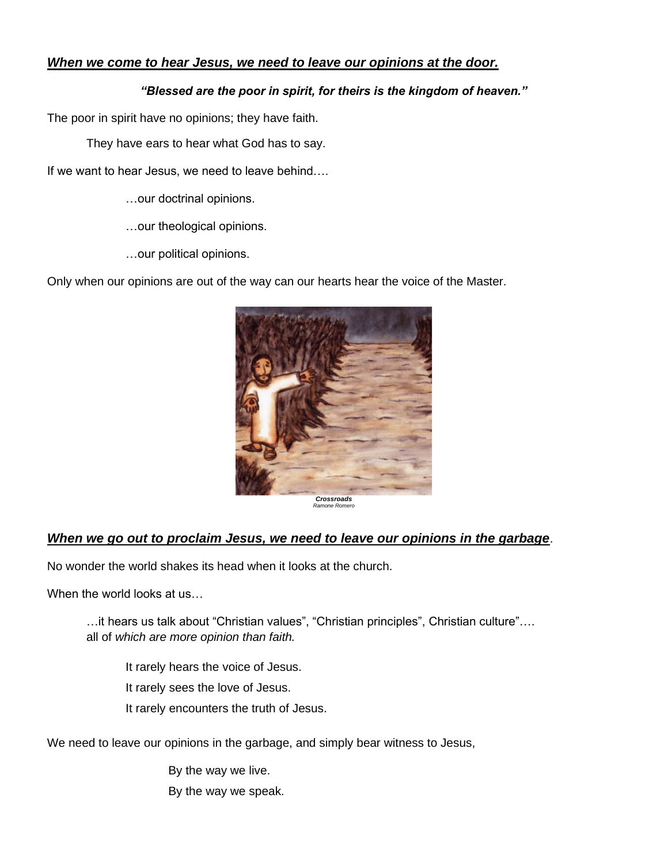# *When we come to hear Jesus, we need to leave our opinions at the door.*

#### *"Blessed are the poor in spirit, for theirs is the kingdom of heaven."*

The poor in spirit have no opinions; they have faith.

They have ears to hear what God has to say.

If we want to hear Jesus, we need to leave behind….

…our doctrinal opinions.

…our theological opinions.

…our political opinions.

Only when our opinions are out of the way can our hearts hear the voice of the Master.



*Crossroads Ramone Romero*

## *When we go out to proclaim Jesus, we need to leave our opinions in the garbage*.

No wonder the world shakes its head when it looks at the church.

When the world looks at us...

…it hears us talk about "Christian values", "Christian principles", Christian culture"…. all of *which are more opinion than faith.*

It rarely hears the voice of Jesus. It rarely sees the love of Jesus. It rarely encounters the truth of Jesus.

We need to leave our opinions in the garbage, and simply bear witness to Jesus,

By the way we live. By the way we speak.